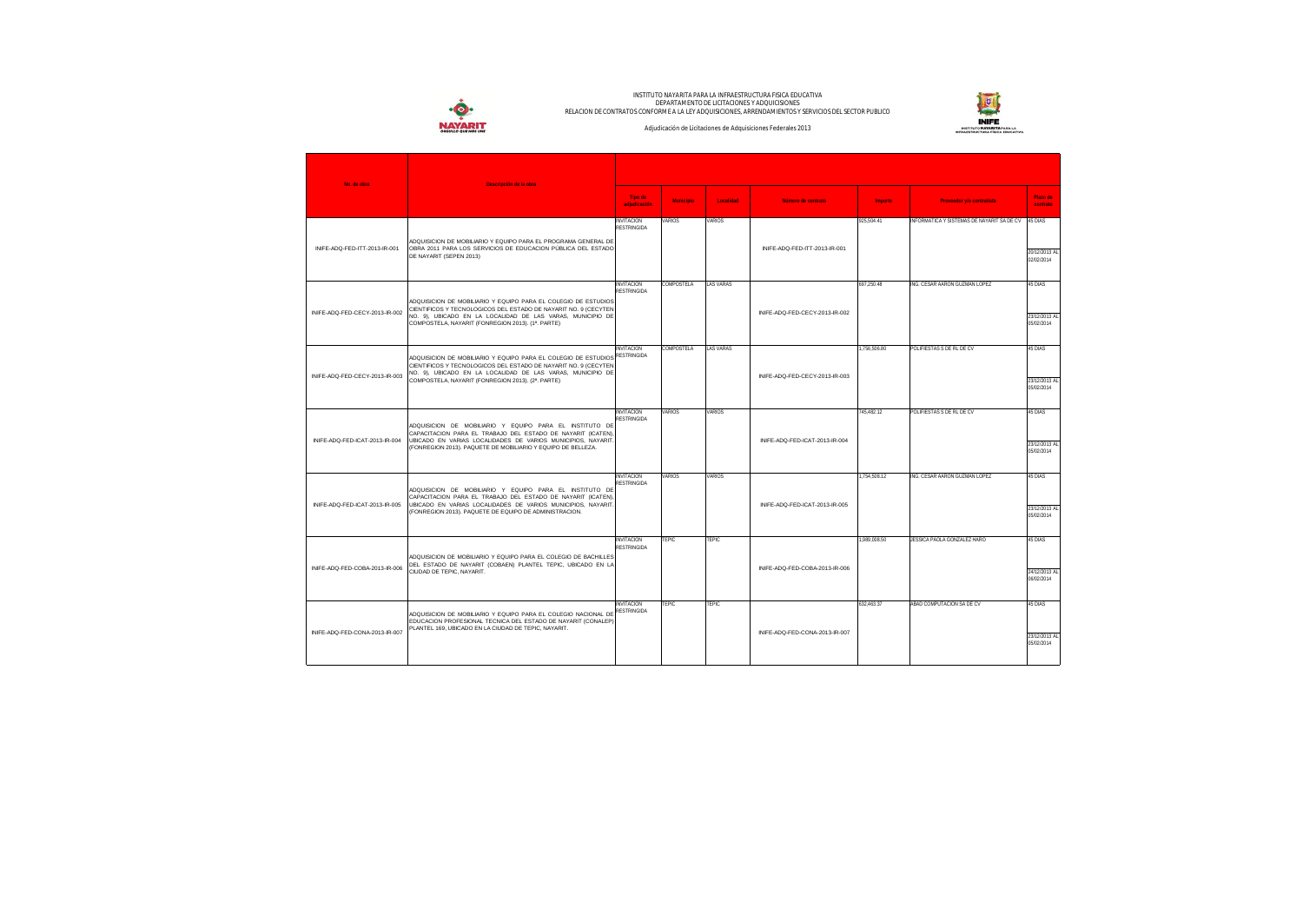

## INSTITUTO IN AVARITA PARA LA INFRAESTRUCTURA FISICA EDUCATIVA<br>DEPARTAMENTOS DE LA LEVATOR EDUCTACIONES Y ADQUICISIONES<br>RELACION DE CONTRATOS CONFORME A LA LEY ADQUISICIONES, ARRENDAMIENTOS Y SERVICIOS DEL SECTOR PUBLICO



Adjudicación de Licitaciones de Adquisiciones Federales 2013

| No. de obra                    | Descripción de la obra                                                                                                                                                                                                                                           | Tipo de<br>adjudicación                 | Municipio     | Localidad        | Número de contrato             | <b>Importe</b> | Proveedor y/o contratista                  | Plazo de<br>contrato                   |
|--------------------------------|------------------------------------------------------------------------------------------------------------------------------------------------------------------------------------------------------------------------------------------------------------------|-----------------------------------------|---------------|------------------|--------------------------------|----------------|--------------------------------------------|----------------------------------------|
| INIFE-ADQ-FED-ITT-2013-IR-001  | ADQUISICION DE MOBILIARIO Y EQUIPO PARA EL PROGRAMA GENERAL DE<br>OBRA 2011 PARA LOS SERVICIOS DE EDUCACION PÚBLICA DEL ESTADO<br>DE NAYARIT (SEPEN 2013)                                                                                                        | <b>INVITACION</b><br><b>RESTRINGIDA</b> | VARIOS        | <b>VARIOS</b>    | INIFE-ADQ-FED-ITT-2013-IR-001  | 925,504.41     | INFORMATICA Y SISTEMAS DE NAYARIT SA DE CV | 45 DIAS<br>20/12/2013 AL<br>02/02/2014 |
| INIFE-ADQ-FED-CECY-2013-IR-002 | ADQUISICION DE MOBILIARIO Y EQUIPO PARA EL COLEGIO DE ESTUDIOS<br>CIENTIFICOS Y TECNOLOGICOS DEL ESTADO DE NAYARIT NO. 9 (CECYTEN<br>NO. 9), UBICADO EN LA LOCALIDAD DE LAS VARAS, MUNICIPIO DE<br>COMPOSTELA, NAYARIT (FONREGION 2013). (1ª. PARTE)             | <b>INVITACION</b><br><b>RESTRINGIDA</b> | COMPOSTELA    | <b>LAS VARAS</b> | INIFE-ADQ-FED-CECY-2013-IR-002 | 697.250.48     | ING. CESAR AARON GUZMAN LOPEZ              | 45 DIAS<br>23/12/2013 AL<br>05/02/2014 |
| INIFE-ADQ-FED-CECY-2013-IR-003 | ADQUISICION DE MOBILIARIO Y EQUIPO PARA EL COLEGIO DE ESTUDIOS RESTRINGIDA<br>CIENTIFICOS Y TECNOLOGICOS DEL ESTADO DE NAYARIT NO. 9 (CECYTEN<br>NO. 9), UBICADO EN LA LOCALIDAD DE LAS VARAS, MUNICIPIO DE<br>COMPOSTELA, NAYARIT (FONREGION 2013). (2ª. PARTE) | <b>INVITACION</b>                       | COMPOSTELA    | <b>LAS VARAS</b> | INIFE-ADQ-FED-CECY-2013-IR-003 | 1.756.506.80   | POLIFIESTAS S DE RL DE CV                  | 45 DIAS<br>23/12/2013 AL<br>05/02/2014 |
| INIFE-ADQ-FED-ICAT-2013-IR-004 | ADQUISICION DE MOBILIARIO Y EQUIPO PARA EL INSTITUTO DE<br>CAPACITACION PARA EL TRABAJO DEL ESTADO DE NAYARIT (ICATEN).<br>UBICADO EN VARIAS LOCALIDADES DE VARIOS MUNICIPIOS, NAYARIT<br>(FONREGION 2013). PAQUETE DE MOBILIARIO Y EQUIPO DE BELLEZA.           | <b>INVITACION</b><br><b>RESTRINGIDA</b> | VARIOS        | VARIOS           | INIFE-ADQ-FED-ICAT-2013-IR-004 | 745.482.12     | POLIFIESTAS S DE RL DE CV                  | 45 DIAS<br>23/12/2013 AL<br>05/02/2014 |
| INIFE-ADQ-FED-ICAT-2013-IR-005 | ADQUISICION DE MOBILIARIO Y EQUIPO PARA EL INSTITUTO DE<br>CAPACITACION PARA EL TRABAJO DEL ESTADO DE NAYARIT (ICATEN),<br>UBICADO EN VARIAS LOCALIDADES DE VARIOS MUNICIPIOS, NAYARIT.<br>(FONREGION 2013). PAQUETE DE EQUIPO DE ADMINISTRACION.                | <b>INVITACION</b><br>RESTRINGIDA        | <b>VARIOS</b> | <b>VARIOS</b>    | INIFE-ADQ-FED-ICAT-2013-IR-005 | 1.754.508.12   | ING. CESAR AARON GUZMAN LOPEZ              | 45 DIAS<br>23/12/2013 AL<br>05/02/2014 |
| INIFE-ADQ-FED-COBA-2013-IR-006 | ADQUISICION DE MOBILIARIO Y EQUIPO PARA EL COLEGIO DE BACHILLES<br>DEL ESTADO DE NAYARIT (COBAEN) PLANTEL TEPIC. UBICADO EN LA<br>CIUDAD DE TEPIC, NAYARIT.                                                                                                      | <b>INVITACION</b><br><b>RESTRINGIDA</b> | <b>TEPIC</b>  | <b>TEPIC</b>     | INIFE-ADQ-FED-COBA-2013-IR-006 | 989.008.50     | JESSICA PAOLA GONZALEZ HARO                | 45 DIAS<br>24/12/2013 AL<br>06/02/2014 |
| INIFE-ADQ-FED-CONA-2013-IR-007 | ADQUISICION DE MOBILIARIO Y EQUIPO PARA EL COLEGIO NACIONAL DE<br>EDUCACION PROFESIONAL TECNICA DEL ESTADO DE NAYARIT (CONALEP)<br>PLANTEL 169, UBICADO EN LA CIUDAD DE TEPIC, NAYARIT.                                                                          | <b>INVITACION</b><br><b>RESTRINGIDA</b> | <b>TEPIC</b>  | <b>TEPIC</b>     | INIFE-ADQ-FED-CONA-2013-IR-007 | 632,463.37     | ABAD COMPUTACION SA DE CV                  | 45 DIAS<br>23/12/2013 AL<br>05/02/2014 |